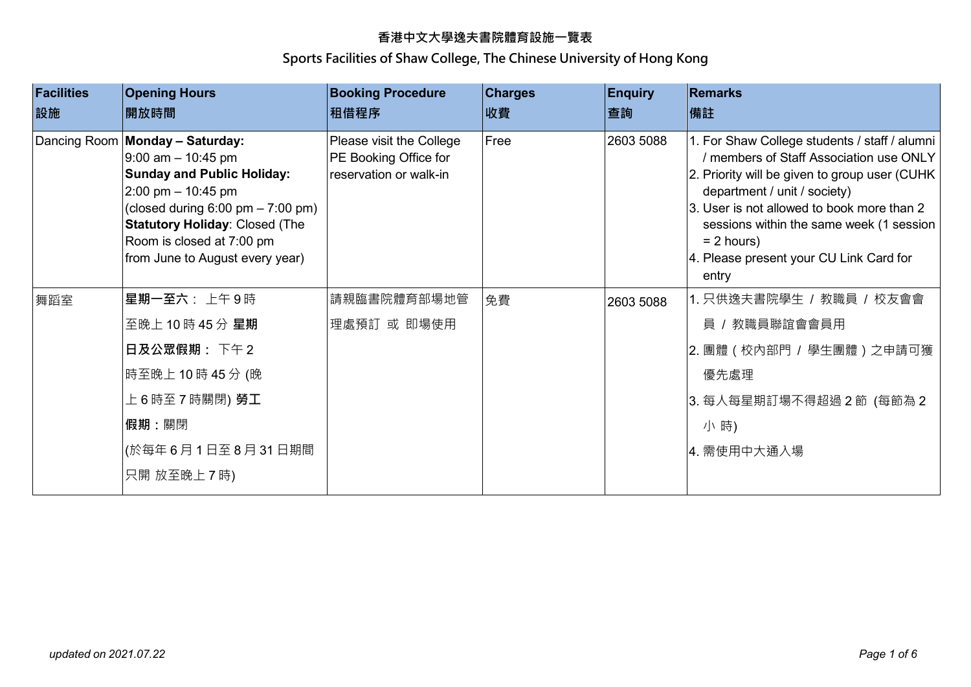| <b>Facilities</b><br>設施 | <b>Opening Hours</b><br>開放時間                                                                                                                                                                                                                                                           | <b>Booking Procedure</b><br>租借程序                                            | <b>Charges</b><br>收費 | <b>Enquiry</b><br>查詢 | <b>Remarks</b><br> 備註                                                                                                                                                                                                                                                                                                                    |
|-------------------------|----------------------------------------------------------------------------------------------------------------------------------------------------------------------------------------------------------------------------------------------------------------------------------------|-----------------------------------------------------------------------------|----------------------|----------------------|------------------------------------------------------------------------------------------------------------------------------------------------------------------------------------------------------------------------------------------------------------------------------------------------------------------------------------------|
|                         | Dancing Room Monday - Saturday:<br>$9:00$ am $-10:45$ pm<br><b>Sunday and Public Holiday:</b><br>2:00 pm $-$ 10:45 pm<br>(closed during $6:00 \text{ pm} - 7:00 \text{ pm}$ )<br><b>Statutory Holiday: Closed (The</b><br>Room is closed at 7:00 pm<br>from June to August every year) | Please visit the College<br>PE Booking Office for<br>reservation or walk-in | Free                 | 2603 5088            | 1. For Shaw College students / staff / alumni<br>/ members of Staff Association use ONLY<br>2. Priority will be given to group user (CUHK)<br>department / unit / society)<br>3. User is not allowed to book more than 2<br>sessions within the same week (1 session<br>$= 2$ hours)<br>4. Please present your CU Link Card for<br>entry |
| 舞蹈室                     | 星期一至六: 上午9時                                                                                                                                                                                                                                                                            | 請親臨書院體育部場地管                                                                 | 免費                   | 2603 5088            | 1. 只供逸夫書院學生 / 教職員 / 校友會會                                                                                                                                                                                                                                                                                                                 |
|                         | 至晚上 10時 45分星期                                                                                                                                                                                                                                                                          | 理處預訂 或 即場使用                                                                 |                      |                      | 員 / 教職員聯誼會會員用                                                                                                                                                                                                                                                                                                                            |
|                         | 日及公眾假期: 下午2                                                                                                                                                                                                                                                                            |                                                                             |                      |                      | 2. 團體 (校內部門 / 學生團體) 之申請可獲                                                                                                                                                                                                                                                                                                                |
|                         | 時至晚上 10 時 45 分 (晚                                                                                                                                                                                                                                                                      |                                                                             |                      |                      | 優先處理                                                                                                                                                                                                                                                                                                                                     |
|                         | 上 6 時至 7 時關閉) <b>勞工</b>                                                                                                                                                                                                                                                                |                                                                             |                      |                      | 3. 每人每星期訂場不得超過2節 (每節為2                                                                                                                                                                                                                                                                                                                   |
|                         | 假期:關閉                                                                                                                                                                                                                                                                                  |                                                                             |                      |                      | 小時)                                                                                                                                                                                                                                                                                                                                      |
|                         | (於每年6月1日至8月31日期間                                                                                                                                                                                                                                                                       |                                                                             |                      |                      | 4. 需使用中大通入場                                                                                                                                                                                                                                                                                                                              |
|                         | 只開 放至晚上7時)                                                                                                                                                                                                                                                                             |                                                                             |                      |                      |                                                                                                                                                                                                                                                                                                                                          |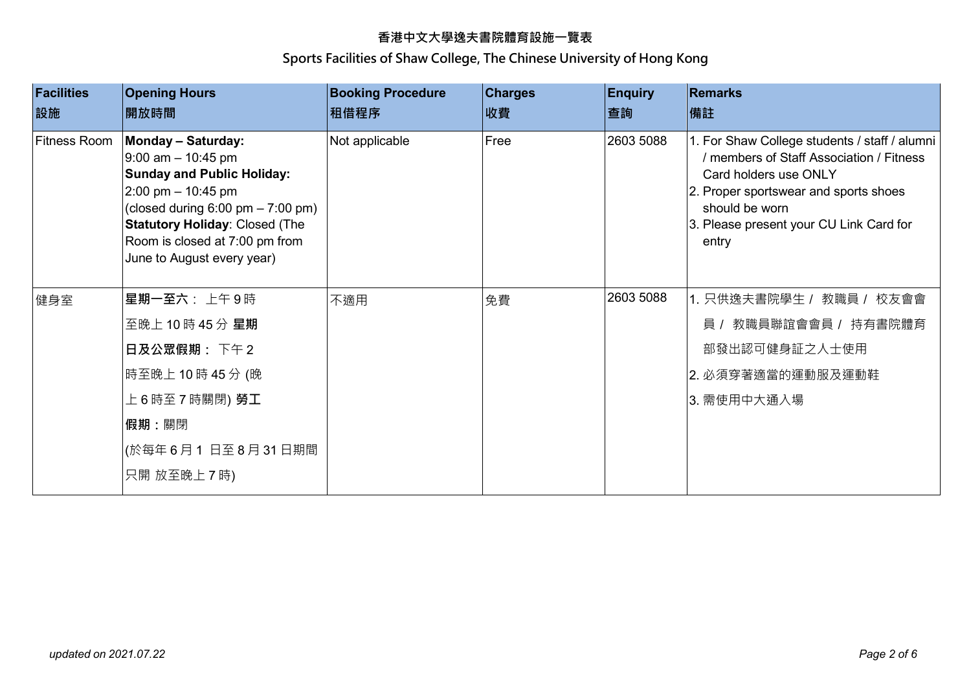| <b>Facilities</b><br>設施 | <b>Opening Hours</b><br>開放時間                                                                                                                                                                                                                                                     | <b>Booking Procedure</b><br>租借程序 | <b>Charges</b><br>收費 | <b>Enquiry</b><br>查詢 | <b>Remarks</b><br> 備註                                                                                                                                                                                                             |
|-------------------------|----------------------------------------------------------------------------------------------------------------------------------------------------------------------------------------------------------------------------------------------------------------------------------|----------------------------------|----------------------|----------------------|-----------------------------------------------------------------------------------------------------------------------------------------------------------------------------------------------------------------------------------|
| <b>Fitness Room</b>     | <b>Monday - Saturday:</b><br>$9:00$ am $-10:45$ pm<br><b>Sunday and Public Holiday:</b><br>2:00 pm $-$ 10:45 pm<br>(closed during $6:00 \text{ pm} - 7:00 \text{ pm}$ )<br><b>Statutory Holiday: Closed (The</b><br>Room is closed at 7:00 pm from<br>June to August every year) | Not applicable                   | Free                 | 2603 5088            | 1. For Shaw College students / staff / alumni<br>/ members of Staff Association / Fitness<br>Card holders use ONLY<br>2. Proper sportswear and sports shoes<br>should be worn<br>3. Please present your CU Link Card for<br>entry |
| 健身室                     | 星期一至六: 上午9時                                                                                                                                                                                                                                                                      | 不適用                              | 免費                   | 2603 5088            | 1. 只供逸夫書院學生 / 教職員 / 校友會會                                                                                                                                                                                                          |
|                         | 至晚上 10 時 45 分 星期                                                                                                                                                                                                                                                                 |                                  |                      |                      | 員 / 教職員聯誼會會員 / 持有書院體育                                                                                                                                                                                                             |
|                         | 日及公眾假期: 下午2                                                                                                                                                                                                                                                                      |                                  |                      |                      | 部發出認可健身証之人士使用                                                                                                                                                                                                                     |
|                         | 時至晚上 10 時 45 分 (晚                                                                                                                                                                                                                                                                |                                  |                      |                      | 2. 必須穿著適當的運動服及運動鞋                                                                                                                                                                                                                 |
|                         | 上 6 時至 7 時關閉) <b>勞工</b>                                                                                                                                                                                                                                                          |                                  |                      |                      | 3. 需使用中大通入場                                                                                                                                                                                                                       |
|                         | 假期:關閉                                                                                                                                                                                                                                                                            |                                  |                      |                      |                                                                                                                                                                                                                                   |
|                         | (於每年6月1 日至8月31日期間                                                                                                                                                                                                                                                                |                                  |                      |                      |                                                                                                                                                                                                                                   |
|                         | 只開 放至晚上 7 時)                                                                                                                                                                                                                                                                     |                                  |                      |                      |                                                                                                                                                                                                                                   |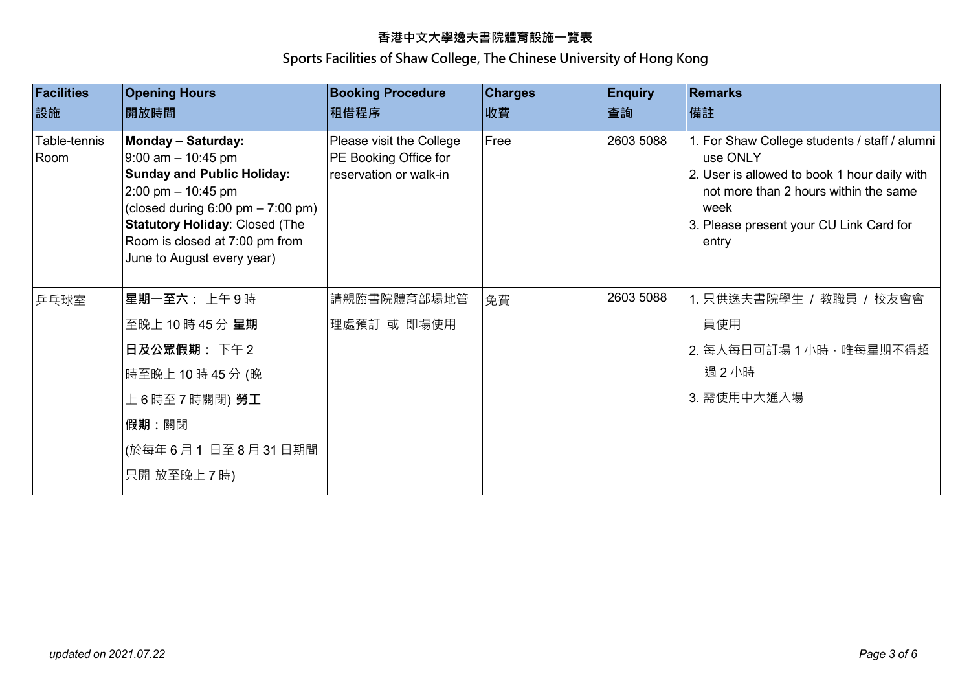| <b>Facilities</b><br>設施 | <b>Opening Hours</b><br>開放時間                                                                                                                                                                                                                                                                     | <b>Booking Procedure</b><br> 租借程序                                           | <b>Charges</b><br>收費 | <b>Enquiry</b><br>查詢 | <b>Remarks</b><br> 備註                                                                                                                                                                                          |
|-------------------------|--------------------------------------------------------------------------------------------------------------------------------------------------------------------------------------------------------------------------------------------------------------------------------------------------|-----------------------------------------------------------------------------|----------------------|----------------------|----------------------------------------------------------------------------------------------------------------------------------------------------------------------------------------------------------------|
| Table-tennis<br>Room    | <b>Monday - Saturday:</b><br>$9:00$ am $-10:45$ pm<br><b>Sunday and Public Holiday:</b><br>$2:00 \text{ pm} - 10:45 \text{ pm}$<br>(closed during $6:00 \text{ pm} - 7:00 \text{ pm}$ )<br><b>Statutory Holiday: Closed (The</b><br>Room is closed at 7:00 pm from<br>June to August every year) | Please visit the College<br>PE Booking Office for<br>reservation or walk-in | Free                 | 2603 5088            | 1. For Shaw College students / staff / alumni<br>use ONLY<br>2. User is allowed to book 1 hour daily with<br>not more than 2 hours within the same<br>week<br>3. Please present your CU Link Card for<br>entry |
| 乒乓球室                    | 星期一至六: 上午9時                                                                                                                                                                                                                                                                                      | 請親臨書院體育部場地管                                                                 | 免費                   | 2603 5088            | 1. 只供逸夫書院學生 / 教職員 / 校友會會                                                                                                                                                                                       |
|                         | 至晚上 10 時 45 分 星期                                                                                                                                                                                                                                                                                 | 理處預訂 或 即場使用                                                                 |                      |                      | 員使用                                                                                                                                                                                                            |
|                         | 日及公眾假期: 下午2                                                                                                                                                                                                                                                                                      |                                                                             |                      |                      | 2. 每人每日可訂場 1 小時,唯每星期不得超                                                                                                                                                                                        |
|                         | 時至晚上 10時 45分 (晚                                                                                                                                                                                                                                                                                  |                                                                             |                      |                      | 過2小時                                                                                                                                                                                                           |
|                         | 上 6 時至 7 時關閉) 勞工                                                                                                                                                                                                                                                                                 |                                                                             |                      |                      | 3. 需使用中大通入場                                                                                                                                                                                                    |
|                         | 假期:關閉                                                                                                                                                                                                                                                                                            |                                                                             |                      |                      |                                                                                                                                                                                                                |
|                         | (於每年6月1日至8月31日期間                                                                                                                                                                                                                                                                                 |                                                                             |                      |                      |                                                                                                                                                                                                                |
|                         | 只開 放至晚上7時)                                                                                                                                                                                                                                                                                       |                                                                             |                      |                      |                                                                                                                                                                                                                |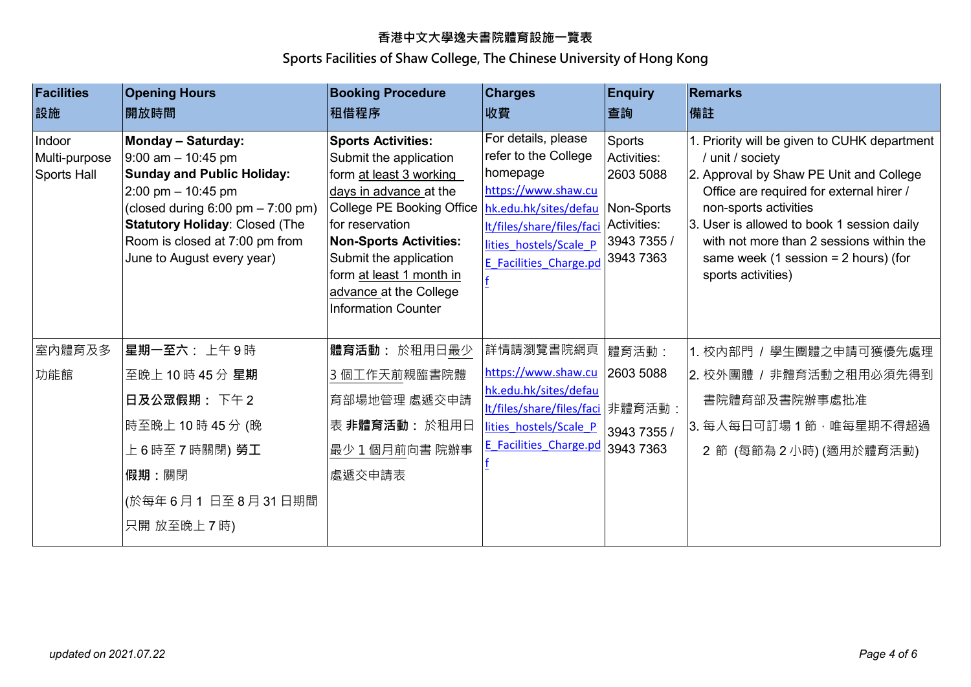| <b>Facilities</b><br>設施                | <b>Opening Hours</b><br>開放時間                                                                                                                                                                                                                                                     | <b>Booking Procedure</b><br>租借程序                                                                                                                                                                                                                                                                        | <b>Charges</b><br>收費                                                                                                                                                                                        | <b>Enquiry</b><br>查詢                                                         | <b>Remarks</b><br>備註                                                                                                                                                                                                                                                                                                                       |
|----------------------------------------|----------------------------------------------------------------------------------------------------------------------------------------------------------------------------------------------------------------------------------------------------------------------------------|---------------------------------------------------------------------------------------------------------------------------------------------------------------------------------------------------------------------------------------------------------------------------------------------------------|-------------------------------------------------------------------------------------------------------------------------------------------------------------------------------------------------------------|------------------------------------------------------------------------------|--------------------------------------------------------------------------------------------------------------------------------------------------------------------------------------------------------------------------------------------------------------------------------------------------------------------------------------------|
| Indoor<br>Multi-purpose<br>Sports Hall | <b>Monday - Saturday:</b><br>$9:00$ am $-10:45$ pm<br><b>Sunday and Public Holiday:</b><br>2:00 pm $-$ 10:45 pm<br>(closed during $6:00 \text{ pm} - 7:00 \text{ pm}$ )<br><b>Statutory Holiday: Closed (The</b><br>Room is closed at 7:00 pm from<br>June to August every year) | <b>Sports Activities:</b><br>Submit the application<br>form at least 3 working<br>days in advance at the<br>College PE Booking Office<br>for reservation<br><b>Non-Sports Activities:</b><br>Submit the application<br>form at least 1 month in<br>advance at the College<br><b>Information Counter</b> | For details, please<br>refer to the College<br>homepage<br>https://www.shaw.cu<br>hk.edu.hk/sites/defau<br>It/files/share/files/faci Activities:<br>lities hostels/Scale P<br><b>E</b> Facilities Charge.pd | Sports<br>Activities:<br>2603 5088<br>Non-Sports<br>3943 7355 /<br>3943 7363 | 1. Priority will be given to CUHK department<br>/ unit / society<br>2. Approval by Shaw PE Unit and College<br>Office are required for external hirer /<br>non-sports activities<br>3. User is allowed to book 1 session daily<br>with not more than 2 sessions within the<br>same week (1 session = $2$ hours) (for<br>sports activities) |
| 室内體育及多                                 | 星期一至六: 上午9時                                                                                                                                                                                                                                                                      | 體育活動: 於租用日最少                                                                                                                                                                                                                                                                                            | 詳情請瀏覽書院網頁                                                                                                                                                                                                   | 體育活動:                                                                        | 1. 校內部門 / 學生團體之申請可獲優先處理                                                                                                                                                                                                                                                                                                                    |
| 功能館                                    | 至晚上 10時 45分星期                                                                                                                                                                                                                                                                    | 3 個工作天前親臨書院體                                                                                                                                                                                                                                                                                            | https://www.shaw.cu                                                                                                                                                                                         | 2603 5088                                                                    | 2. 校外團體 / 非體育活動之租用必須先得到                                                                                                                                                                                                                                                                                                                    |
|                                        | 日及公眾假期: 下午2                                                                                                                                                                                                                                                                      | 育部場地管理 處遞交申請                                                                                                                                                                                                                                                                                            | hk.edu.hk/sites/defau<br>It/files/share/files/faci   非體育活動:                                                                                                                                                 |                                                                              | 書院體育部及書院辦事處批准                                                                                                                                                                                                                                                                                                                              |
|                                        | 時至晚上 10時 45分 (晚                                                                                                                                                                                                                                                                  | 表 非體育活動:於租用日                                                                                                                                                                                                                                                                                            | lities hostels/Scale P                                                                                                                                                                                      | 3943 7355 /                                                                  | 3. 每人每日可訂場 1 節, 唯每星期不得超過                                                                                                                                                                                                                                                                                                                   |
|                                        | 上 6 時至 7 時關閉) <b>勞工</b>                                                                                                                                                                                                                                                          | 最少1個月前向書院辦事                                                                                                                                                                                                                                                                                             | <b>E</b> Facilities Charge.pd                                                                                                                                                                               | 3943 7363                                                                    | 2節 (每節為2小時)(適用於體育活動)                                                                                                                                                                                                                                                                                                                       |
|                                        | 假期:關閉                                                                                                                                                                                                                                                                            | 處遞交申請表                                                                                                                                                                                                                                                                                                  |                                                                                                                                                                                                             |                                                                              |                                                                                                                                                                                                                                                                                                                                            |
|                                        | (於每年6月1日至8月31日期間                                                                                                                                                                                                                                                                 |                                                                                                                                                                                                                                                                                                         |                                                                                                                                                                                                             |                                                                              |                                                                                                                                                                                                                                                                                                                                            |
|                                        | 只開 放至晚上7時)                                                                                                                                                                                                                                                                       |                                                                                                                                                                                                                                                                                                         |                                                                                                                                                                                                             |                                                                              |                                                                                                                                                                                                                                                                                                                                            |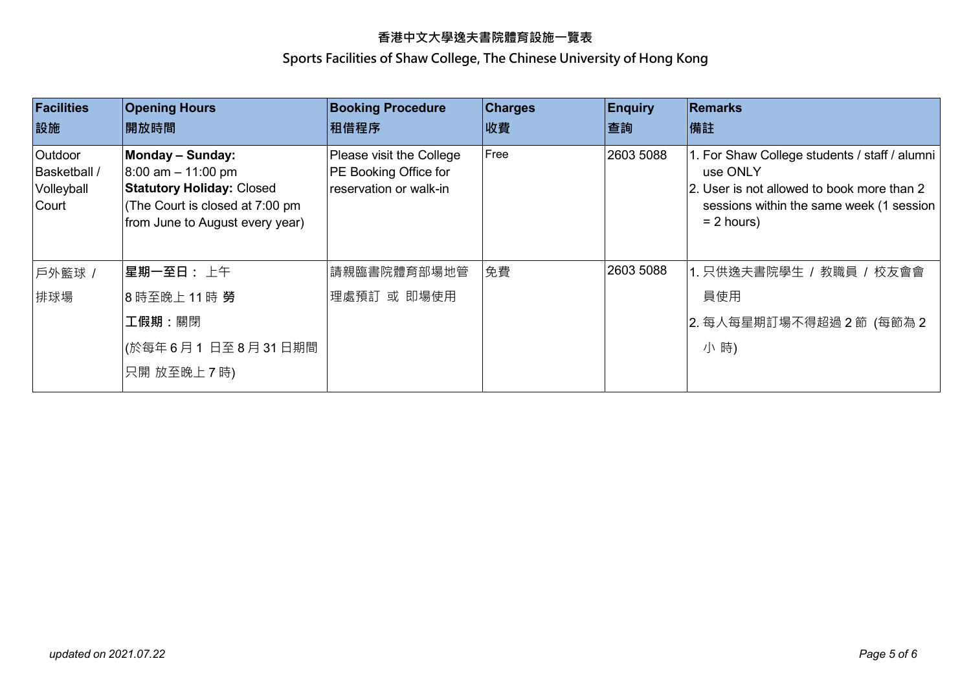| <b>Facilities</b><br>設施                        | <b>Opening Hours</b><br>開放時間                                                                                                                               | <b>Booking Procedure</b><br> 租借程序                                           | <b>Charges</b><br>收費 | <b>Enquiry</b><br>查詢 | Remarks<br>備註                                                                                                                                                       |
|------------------------------------------------|------------------------------------------------------------------------------------------------------------------------------------------------------------|-----------------------------------------------------------------------------|----------------------|----------------------|---------------------------------------------------------------------------------------------------------------------------------------------------------------------|
| Outdoor<br>Basketball /<br>Volleyball<br>Court | <b>Monday - Sunday:</b><br>$8:00$ am $-11:00$ pm<br><b>Statutory Holiday: Closed</b><br>(The Court is closed at 7:00 pm<br>from June to August every year) | Please visit the College<br>PE Booking Office for<br>reservation or walk-in | Free                 | 2603 5088            | 1. For Shaw College students / staff / alumni<br>use ONLY<br>2. User is not allowed to book more than 2<br>sessions within the same week (1 session<br>$= 2$ hours) |
| 戶外籃球 /                                         | 星期一至日: 上午                                                                                                                                                  | 請親臨書院體育部場地管                                                                 | 免費                   | 2603 5088            | 1. 只供逸夫書院學生 / 教職員 / 校友會會                                                                                                                                            |
| 排球場                                            | 8 時至晚上 11 時 勞                                                                                                                                              | 理處預訂 或 即場使用                                                                 |                      |                      | 員使用                                                                                                                                                                 |
|                                                | 工假期:關閉                                                                                                                                                     |                                                                             |                      |                      | 2. 每人每星期訂場不得超過 2 節 (每節為 2                                                                                                                                           |
|                                                | (於每年6月1日至8月31日期間                                                                                                                                           |                                                                             |                      |                      | 小時)                                                                                                                                                                 |
|                                                | 只開 放至晚上7時)                                                                                                                                                 |                                                                             |                      |                      |                                                                                                                                                                     |